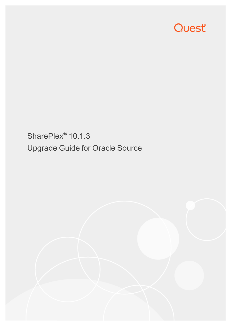# Quest®

SharePlex<sup>®</sup> 10.1.3 Upgrade Guide for Oracle Source

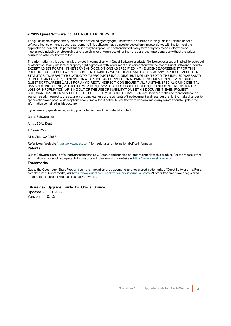#### **© 2022 Quest Software Inc. ALL RIGHTS RESERVED.**

This guide contains proprietary information protected by copyright. The software described in this guide is furnished under a software license or nondisclosure agreement. This software may be used or copied only in accordance with the terms of the applicable agreement. No part of this guide may be reproduced or transmitted in any form or by any means, electronic or mechanical, including photocopying and recording for any purpose other than the purchaser's personal use without the written permission of Quest Software Inc.

The information in this document is provided in connection with Quest Software products. No license, express or implied, by estoppel or otherwise, to any intellectual property right is granted by this document or in connection with the sale of Quest Software products. EXCEPT AS SET FORTH IN THE TERMS AND CONDITIONS AS SPECIFIED IN THE LICENSE AGREEMENT FOR THIS PRODUCT, QUEST SOFTWARE ASSUMES NO LIABILITY WHATSOEVER AND DISCLAIMS ANY EXPRESS, IMPLIED OR STATUTORY WARRANTY RELATING TO ITS PRODUCTS INCLUDING, BUT NOT LIMITED TO, THE IMPLIED WARRANTY OF MERCHANTABILITY, FITNESS FOR A PARTICULAR PURPOSE, OR NON-INFRINGEMENT. IN NO EVENT SHALL QUEST SOFTWARE BE LIABLE FOR ANY DIRECT, INDIRECT, CONSEQUENTIAL, PUNITIVE, SPECIAL OR INCIDENTAL DAMAGES (INCLUDING, WITHOUT LIMITATION, DAMAGES FOR LOSS OF PROFITS, BUSINESS INTERRUPTION OR LOSS OF INFORMATION) ARISING OUT OF THE USE OR INABILITY TO USE THIS DOCUMENT, EVEN IF QUEST SOFTWARE HAS BEEN ADVISED OF THE POSSIBILITY OF SUCH DAMAGES. Quest Software makes no representations or warranties with respect to the accuracy or completeness of the contents of this document and reserves the right to make changes to specifications and product descriptions at any time without notice. Quest Software does not make any commitment to update the information contained in this document.

If you have any questions regarding your potential use of this material, contact:

Quest Software Inc.

Attn: LEGAL Dept

4 PolarisWay

Aliso Viejo, CA 92656

Refer to our Web site ([https://www.quest.com](https://www.quest.com/)) for regional and international office information.

#### **Patents**

Quest Software is proud of our advanced technology. Patents and pending patents may apply to this product. For the most current information about applicable patents for this product, please visit our website at <https://www.quest.com/legal>.

#### **Trademarks**

Quest, the Quest logo, SharePlex, and Join the Innovation are trademarks and registered trademarks of Quest Software Inc. For a complete list of Quest marks, visit <https://www.quest.com/legal/trademark-information.aspx>. All other trademarks and registered trademarks are property of their respective owners.

SharePlex Upgrade Guide for Oracle Source Updated - 3/31/2022 Version - 10.1.3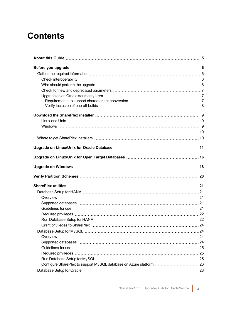# **Contents**

| 10 |
|----|
|    |
|    |
|    |
|    |
|    |
|    |
|    |
|    |
|    |
|    |
|    |
|    |
|    |
|    |
|    |
|    |
|    |
|    |
|    |
|    |
|    |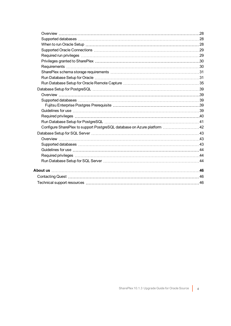| Configure SharePlex to support PostgreSQL database on Azure platform 42 |  |
|-------------------------------------------------------------------------|--|
|                                                                         |  |
|                                                                         |  |
|                                                                         |  |
|                                                                         |  |
|                                                                         |  |
|                                                                         |  |
|                                                                         |  |
|                                                                         |  |
|                                                                         |  |
|                                                                         |  |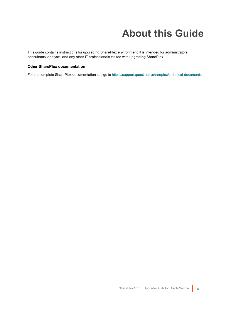# **About this Guide**

<span id="page-4-0"></span>This guide contains instructions for upgrading SharePlex environment. It is intended for administrators, consultants, analysts, and any other IT professionals tasked with upgrading SharePlex.

### **Other SharePlex documentation**

For the complete SharePlex documentation set, go to [https://support.quest.com/shareplex/technical-documents.](https://support.quest.com/shareplex/technical-documents)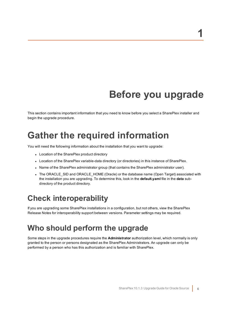# **Before you upgrade**

<span id="page-5-1"></span><span id="page-5-0"></span>This section contains important information that you need to know before you select a SharePlex installer and begin the upgrade procedure.

# **Gather the required information**

You will need the following information about the installation that you want to upgrade:

- Location of the SharePlex product directory
- Location of the SharePlex variable-data directory (or directories) in this instance of SharePlex.
- Name of the SharePlex administrator group (that contains the SharePlex administrator user).
- The ORACLE\_SID and ORACLE\_HOME (Oracle) or the database name (Open Target) associated with the installation you are upgrading. To determine this, look in the **default.yaml** file in the **data** subdirectory of the product directory.

## <span id="page-5-2"></span>**Check interoperability**

<span id="page-5-3"></span>If you are upgrading some SharePlex installations in a configuration, but not others, view the SharePlex Release Notes for interoperability support between versions. Parameter settings may be required.

### **Who should perform the upgrade**

Some steps in the upgrade procedures require the **Administrator** authorization level, which normally is only granted to the person or persons designated as the SharePlex Administrators. An upgrade can only be performed by a person who has this authorization and is familiar with SharePlex.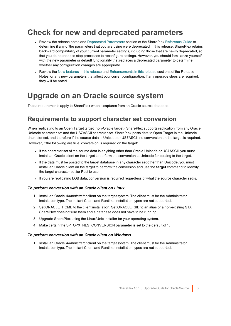## <span id="page-6-0"></span>**Check for new and deprecated parameters**

- Review the release notes and Deprecated Parameters section of the SharePlex [Reference](https://support.quest.com/shareplex) Guide to determine if any of the parameters that you are using were deprecated in this release. SharePlex retains backward compatibility of your current parameter settings, including those that are newly deprecated, so that you do not need to stop processes to reconfigure settings. However, you should familiarize yourself with the new parameter or default functionality that replaces a deprecated parameter to determine whether any configuration changes are appropriate.
- Review the New features in this release and Enhancements in this release sections of the Release Notes for any new parameters that affect your current configuration. If any upgrade steps are required, they will be noted.

## <span id="page-6-1"></span>**Upgrade on an Oracle source system**

<span id="page-6-2"></span>These requirements apply to SharePlex when it captures from an Oracle source database.

### **Requirements to support character set conversion**

When replicating to an Open Target target (non-Oracle target), SharePlex supports replication from any Oracle Unicode character set and the US7ASCII character set. SharePlex posts data to Open Target in the Unicode character set, and therefore if the source data is Unicode or US7ASCII, no conversion on the target is required. However, if the following are true, conversion is required on the target:

- If the character set of the source data is anything other than Oracle Unicode or US7ASCII, you must install an Oracle client on the target to perform the conversion to Unicode for posting to the target.
- If the data must be posted to the target database in any character set other than Unicode, you must install an Oracle client on the target to perform the conversion and use the **target** command to identify the target character set for Post to use.
- If you are replicating LOB data, conversion is required regardless of what the source character set is.

### *To perform conversion with an Oracle client on Linux*

- 1. Install an Oracle *Administrator* client on the target system. The client must be the Administrator installation type. The Instant Client and Runtime installation types are not supported.
- 2. Set ORACLE HOME to the client installation. Set ORACLE SID to an alias or a non-existing SID. SharePlex does not use them and a database does not have to be running.
- 3. Upgrade SharePlex using the Linux/Unix installer for your operating system.
- 4. Make certain the SP\_OPX\_NLS\_CONVERSION parameter is set to the default of 1.

### *To perform conversion with an Oracle client on Windows*

1. Install an Oracle *Administrator* client on the target system. The client must be the Administrator installation type. The Instant Client and Runtime installation types are not supported.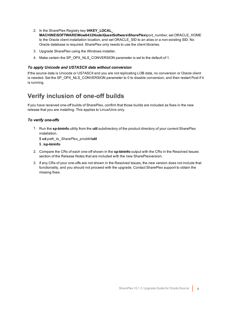- 2. In the SharePlex Registry key **\HKEY\_LOCAL\_ MACHINE\SOFTWARE\Wow6432Node\QuestSoftware\SharePlex\***port\_number*, set ORACLE\_HOME to the Oracle client installation location, and set ORACLE SID to an alias or a non-existing SID. No Oracle database is required. SharePlex only needs to use the client libraries.
- 3. Upgrade SharePlex using the Windows installer.
- 4. Make certain the SP\_OPX\_NLS\_CONVERSION parameter is set to the default of 1.

### *To apply Unicode and US7ASCII data without conversion*

If the source data is Unicode or US7ASCII and you are not replicating LOB data, no conversion or Oracle client is needed. Set the SP\_OPX\_NLS\_CONVERSION parameter to 0 to disable conversion, and then restart Post if it is running.

### <span id="page-7-0"></span>**Verify inclusion of one-off builds**

If you have received one-off builds of SharePlex, confirm that those builds are included as fixes in the new release that you are installing. This applies to Linux/Unix only.

### *To verify one-offs*

1. Run the **sp-bininfo** utility from the **util** subdirectory of the product directory of your current SharePlex installation.

\$ **cd** *path\_to\_SharePlex\_proddir***/util** \$ ./**sp-bininfo**

- 2. Compare the CRs of each one-off shown in the **sp-bininfo** output with the CRs in the Resolved Issues section of the Release Notes that are included with the new SharePlexversion.
- 3. If any CRs of your one-offs are not shown in the Resolved Issues, the new version does not include that functionality, and you should not proceed with the upgrade. Contact SharePlex support to obtain the missing fixes.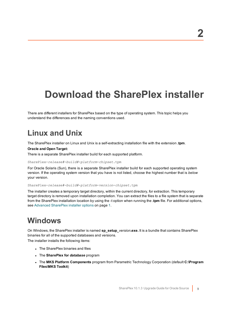# <span id="page-8-0"></span>**Download the SharePlex installer**

There are different installers for SharePlex based on the type of operating system. This topic helps you understand the differences and the naming conventions used.

## <span id="page-8-1"></span>**Linux and Unix**

The SharePlex installer on Linux and Unix is a self-extracting installation file with the extension **.tpm**.

### **Oracle and Open Target:**

There is a separate SharePlex installer build for each supported platform.

#### SharePlex-*release#*-*build#*-*platform*-*chipset*.tpm

For Oracle Solaris (Sun), there is a separate SharePlex installer build for each supported operating system version. If the operating system version that you have is not listed, choose the highest number that is *below* your version.

SharePlex-*release#*-*build#*-*platform*-*version*-*chipset*.tpm

The installer creates a temporary target directory, within the current directory, for extraction. This temporary target directory is removed upon installation completion. You can extract the files to a file system that is separate from the SharePlex installation location by using the -t option when running the **.tpm** file. For additional options, see Advanced SharePlex installer options on page 1.

### <span id="page-8-2"></span>**Windows**

On Windows, the SharePlex installer is named **sp\_setup\_***version***.exe.** It is a bundle that contains SharePlex binaries for all of the supported databases and versions.

The installer installs the following items:

- The SharePlex binaries and files
- <sup>l</sup> The **SharePlex for** *database* program
- <sup>l</sup> The **MKS Platform Components** program from Parametric Technology Corporation (default **C:\Program Files\MKS Toolkit**)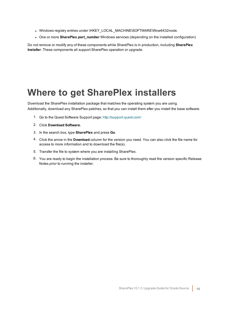- Windows registry entries under \HKEY\_LOCAL\_MACHINE\SOFTWARE\Wow6432node.
- One or more **SharePlex** *port* number Windows services (depending on the installed configuration)

<span id="page-9-0"></span>Do not remove or modify any of these components while SharePlex is in production, including **SharePlex Installer**. These components all support SharePlex operation or upgrade.

# <span id="page-9-1"></span>**Where to get SharePlex installers**

Download the SharePlex installation package that matches the operating system you are using. Additionally, download any SharePlex patches, so that you can install them after you install the base software.

- 1. Go to the Quest Software Support page: <http://support.quest.com/>
- 2. Click **Download Software.**
- 3. In the search box, type **SharePlex** and press **Go**.
- 4. Click the arrow in the **Download** column for the version you need. You can also click the file name for access to more information and to download the file(s).
- 5. Transfer the file to system where you are installing SharePlex.
- 6. You are ready to begin the installation process. Be sure to thoroughly read the version specific Release Notes *prior* to running the installer.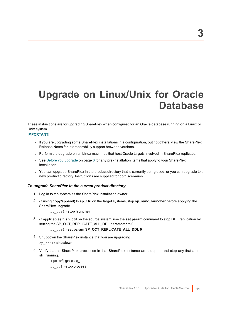# <span id="page-10-0"></span>**Upgrade on Linux/Unix for Oracle Database**

These instructions are for upgrading SharePlex when configured for an Oracle database running on a Linux or Unix system.

### **IMPORTANT!**:

- If you are upgrading some SharePlex installations in a configuration, but not others, view the SharePlex Release Notes for interoperability support between versions.
- Perform the upgrade on all Linux machines that host Oracle targets involved in SharePlex replication.
- See Before you [upgrade](#page-5-0) on page 6 for any pre-installation items that apply to your SharePlex installation.
- You can upgrade SharePlex in the product directory that is currently being used, or you can upgrade to a new product directory. Instructions are supplied for both scenarios.

### *To upgrade SharePlex in the current product directory*

- 1. Log in to the system as the SharePlex installation owner.
- 2. (If using **copy/append**) In **sp\_ctrl** on the target systems, stop **sp\_sync\_launcher** before applying the SharePlex upgrade.

sp\_ctrl> **stop launcher**

3. (If applicable) In **sp\_ctrl** on the source system, use the **set param** command to stop DDL replication by setting the SP\_OCT\_REPLICATE\_ALL\_DDL parameter to 0.

### sp\_ctrl> **set param SP\_OCT\_REPLICATE\_ALL\_DDL 0**

4. Shut down the SharePlex instance that you are upgrading.

### sp\_ctrl> **shutdown**

5. Verify that all SharePlex processes in that SharePlex instance are stopped, and stop any that are still running.

### # **ps -ef | grep sp\_**

sp\_ctl> **stop** *process*

**3**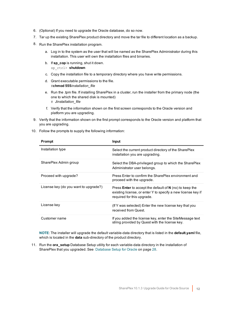- 6. (Optional) If you need to upgrade the Oracle database, do so now.
- 7. Tar up the existing SharePlex product directory and move the tar file to different location as a backup.
- 8. Run the SharePlex installation program.
	- a. Log in to the system as the user that will be named as the SharePlex Administrator during this installation. This user will own the installation files and binaries.
	- b. If **sp\_cop** is running, shut it down. sp\_ctrl> **shutdown**
	- c. Copy the installation file to a temporary directory where you have write permissions.
	- d. Grant executable permissions to the file. #**chmod 555***installation\_file*
	- e. Run the .tpm file. If installing SharePlex in a cluster, run the installer from the primary node (the one to which the shared disk is mounted) # **./***installation\_file*
	- f. Verify that the information shown on the first screen corresponds to the Oracle version and platform you are upgrading.
- 9. Verify that the information shown on the first prompt corresponds to the Oracle version and platform that you are upgrading.
- 10. Follow the prompts to supply the following information:

| Prompt                                | <b>Input</b>                                                                                                                                                   |
|---------------------------------------|----------------------------------------------------------------------------------------------------------------------------------------------------------------|
| Installation type                     | Select the current product directory of the SharePlex<br>installation you are upgrading.                                                                       |
| SharePlex Admin group                 | Select the DBA-privileged group to which the SharePlex<br>Administrator user belongs.                                                                          |
| Proceed with upgrade?                 | Press Enter to confirm the SharePlex environment and<br>proceed with the upgrade.                                                                              |
| License key (do you want to upgrade?) | Press <b>Enter</b> to accept the default of $N$ (no) to keep the<br>existing license, or enter Y to specify a new license key if<br>required for this upgrade. |
| License key                           | (If Y was selected) Enter the new license key that you<br>received from Quest.                                                                                 |
| Customer name                         | If you added the license key, enter the SiteMessage text<br>string provided by Quest with the license key.                                                     |

**NOTE**: The installer will upgrade the default variable-data directory that is listed in the **default.yaml** file, which is located in the **data** sub-directory of the product directory.

11. Run the **ora\_setup** Database Setup utility for each variable-data directory in the installation of SharePlex that you upgraded. See [Database](#page-27-0) Setup for Oracle on page 28.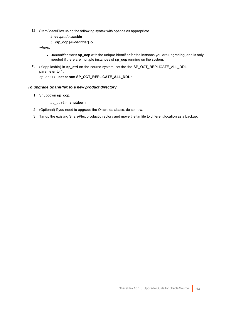- 12. Start SharePlex using the following syntax with options as appropriate.
	- \$ **cd** /*productdir*/**bin**
	- \$ **./sp\_cop** [-**u***identifier*] **&**

*where:*

- **-** -uidentifier starts sp\_cop with the unique identifier for the instance you are upgrading, and is only needed if there are multiple instances of **sp\_cop** running on the system.
- 13. (If applicable) In **sp\_ctrl** on the source system, set the the SP\_OCT\_REPLICATE\_ALL\_DDL parameter to 1.

sp\_ctrl> **set param SP\_OCT\_REPLICATE\_ALL\_DDL 1**

### *To upgrade SharePlex to a new product directory*

1. Shut down **sp\_cop**.

sp\_ctrl> **shutdown**

- 2. (Optional) If you need to upgrade the Oracle database, do so now.
- 3. Tar up the existing SharePlex product directory and move the tar file to different location as a backup.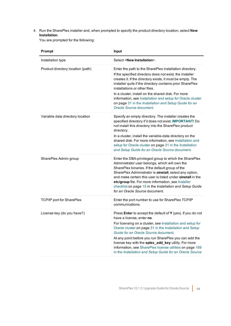### 4. Run the SharePlex installer and, when prompted to specify the product directory location, select **New Installation**.

You are prompted for the following:

| Prompt                            | Input                                                                                                                                                                                                                                                                                                                                                                                                                                                                                              |
|-----------------------------------|----------------------------------------------------------------------------------------------------------------------------------------------------------------------------------------------------------------------------------------------------------------------------------------------------------------------------------------------------------------------------------------------------------------------------------------------------------------------------------------------------|
| Installation type                 | Select <new installation="">.</new>                                                                                                                                                                                                                                                                                                                                                                                                                                                                |
| Product directory location (path) | Enter the path to the SharePlex installation directory.<br>If the specified directory does not exist, the installer<br>creates it. If the directory exists, it must be empty. The<br>installer quits if the directory contains prior SharePlex<br>installations or other files.<br>In a cluster, install on the shared disk. For more<br>information, see Installation and setup for Oracle cluster<br>on page 31 in the Installation and Setup Guide for an<br>Oracle Source document.            |
| Variable data directory location  | Specify an empty directory. The installer creates the<br>specified directory if it does not exist. IMPORTANT! Do<br>not install this directory into the SharePlex product<br>directory.<br>In a cluster, install the variable-data directory on the<br>shared disk. For more information, see Installation and<br>setup for Oracle cluster on page 31 in the Installation<br>and Setup Guide for an Oracle Source document.                                                                        |
| SharePlex Admin group             | Enter the DBA-privileged group to which the SharePlex<br>Administrator user belongs, which will own the<br>SharePlex binaries. If the default group of the<br>SharePlex Administrator is <b>oinstall</b> , select any option,<br>and make certain this user is listed under <b>oinstall</b> in the<br>etc/group file. For more information, see Installer<br>checklist on page 15 in the Installation and Setup Guide<br>for an Oracle Source document.                                            |
| TCP/IP port for SharePlex         | Enter the port number to use for SharePlex TCP/IP<br>communications.                                                                                                                                                                                                                                                                                                                                                                                                                               |
| License key (do you have?)        | Press Enter to accept the default of Y (yes). If you do not<br>have a license, enter no.<br>For licensing on a cluster, see Installation and setup for<br>Oracle cluster on page 31 in the Installation and Setup<br>Guide for an Oracle Source document.<br>At any point before you run SharePlex you can add the<br>license key with the splex_add_key utility. For more<br>information, see SharePlex license utilities on page 169<br>in the Installation and Setup Guide for an Oracle Source |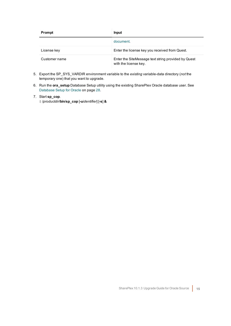| Prompt        | Input                                                                        |
|---------------|------------------------------------------------------------------------------|
|               | document.                                                                    |
| License key   | Enter the license key you received from Quest.                               |
| Customer name | Enter the SiteMessage text string provided by Quest<br>with the license key. |

- 5. Export the SP\_SYS\_VARDIR environment variable to the *existing* variable-data directory (*not* the temporary one) that you want to upgrade.
- 6. Run the **ora\_setup** Database Setup utility using the existing SharePlex Oracle database user. See [Database](#page-27-0) Setup for Oracle on page 28.

### 7. Start **sp\_cop**.

\$ /*productdir*/**bin**/**sp\_cop** [**-u***identifier*] [**-s**] **&**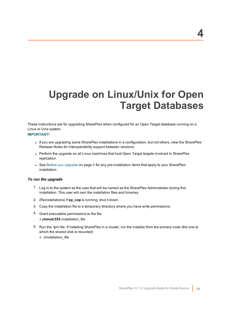# <span id="page-15-0"></span>**Upgrade on Linux/Unix for Open Target Databases**

These instructions are for upgrading SharePlex when configured for an Open Target database running on a Linux or Unix system.

### **IMPORTANT!**

- If you are upgrading some SharePlex installations in a configuration, but not others, view the SharePlex Release Notes for interoperability support between versions.
- Perform the upgrade on all Linux machines that host Open Target targets involved in SharePlex replication.
- See Before you [upgrade](#page-5-0) on page 6 for any pre-installation items that apply to your SharePlex installation.

#### *To run the upgrade*

- 1. Log in to the system as the user that will be named as the SharePlex Administrator during this installation. This user will own the installation files and binaries.
- 2. (Reinstallations) If **sp\_cop** is running, shut it down.
- 3. Copy the installation file to a temporary directory where you have write permissions.
- 4. Grant executable permissions to the file.
	- # **chmod 555** *installation\_file*
- 5. Run the .tpm file. If installing SharePlex in a cluster, run the installer from the primary node (the one to which the shared disk is mounted)
	- # **./***installation\_file*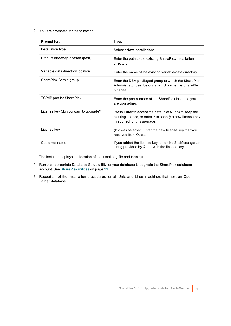6. You are prompted for the following:

| <b>Prompt for:</b>                    | Input                                                                                                                                                          |
|---------------------------------------|----------------------------------------------------------------------------------------------------------------------------------------------------------------|
| Installation type                     | Select <new installation="">.</new>                                                                                                                            |
| Product directory location (path)     | Enter the path to the existing SharePlex installation<br>directory.                                                                                            |
| Variable data directory location      | Enter the name of the existing variable-data directory.                                                                                                        |
| SharePlex Admin group                 | Enter the DBA-privileged group to which the SharePlex<br>Administrator user belongs, which owns the SharePlex<br>binaries.                                     |
| <b>TCP/IP port for SharePlex</b>      | Enter the port number of the SharePlex instance you<br>are upgrading.                                                                                          |
| License key (do you want to upgrade?) | Press <b>Enter</b> to accept the default of $N$ (no) to keep the<br>existing license, or enter Y to specify a new license key<br>if required for this upgrade. |
| License key                           | (If Y was selected) Enter the new license key that you<br>received from Quest.                                                                                 |
| Customer name                         | If you added the license key, enter the SiteMessage text<br>string provided by Quest with the license key.                                                     |

The installer displays the location of the install log file and then quits.

- 7. Run the appropriate Database Setup utility for your database to upgrade the SharePlex database account. See [SharePlex](#page-20-0) utilities on page 21.
- 8. Repeat all of the installation procedures for all Unix and Linux machines that host an Open Target database.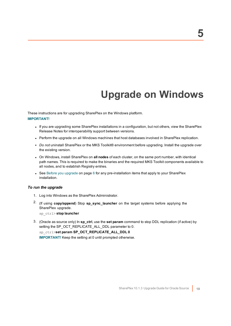# **Upgrade on Windows**

<span id="page-17-0"></span>These instructions are for upgrading SharePlex on the Windows platform. **IMPORTANT!**

- If you are upgrading some SharePlex installations in a configuration, but not others, view the SharePlex Release Notes for interoperability support between versions.
- Perform the upgrade on all Windows machines that host databases involved in SharePlex replication.
- <sup>l</sup> *Do not* uninstall SharePlex or the MKS Toolkit® environment before upgrading. Install the upgrade over the existing version.
- <sup>l</sup> On Windows, install SharePlex on **all nodes** of each cluster, on the same port number, with identical path names. This is required to make the binaries and the required MKS Toolkit components available to all nodes, and to establish Registry entries.
- See Before you [upgrade](#page-5-0) on page 6 for any pre-installation items that apply to your SharePlex installation.

### *To run the upgrade*

- 1. Log into Windows as the SharePlex Administrator.
- 2. (If using **copy/append**) Stop **sp\_sync\_launcher** on the target systems before applying the SharePlex upgrade.

sp\_ctrl> **stop launcher**

3. (Oracle as source only) In **sp\_ctrl**, use the **set param** command to stop DDL replication (if active) by setting the SP\_OCT\_REPLICATE\_ALL\_DDL parameter to 0.

sp\_ctrl>**set param SP\_OCT\_REPLICATE\_ALL\_DDL 0**

**IMPORTANT!** Keep the setting at 0 until prompted otherwise.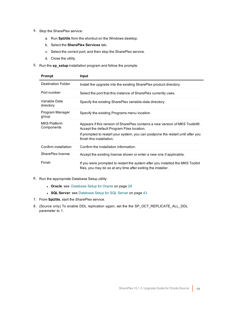- 4. Stop the SharePlex service:
	- a. Run **SpUtils** from the shortcut on the Windows desktop.
	- b. Select the **SharePlex Services** tab**.**
	- c. Select the correct port, and then stop the SharePlex service.
	- d. Close the utility.
- 5. Run the **sp\_setup** installation program and follow the prompts:

| Prompt                            | <b>Input</b>                                                                                                                                    |
|-----------------------------------|-------------------------------------------------------------------------------------------------------------------------------------------------|
| Destination Folder                | Install the upgrade into the existing SharePlex product directory.                                                                              |
| Port number                       | Select the port that this instance of SharePlex currently uses.                                                                                 |
| Variable Data<br>directory        | Specify the existing SharePlex variable-data directory.                                                                                         |
| Program Manager<br>group          | Specify the existing Programs menu location.                                                                                                    |
| <b>MKS Platform</b><br>Components | Appears if this version of SharePlex contains a new version of MKS Toolkit®.<br>Accept the default Program Files location.                      |
|                                   | If prompted to restart your system, you can postpone the restart until after you<br>finish this installation.                                   |
| Confirm installation              | Confirm the installation information.                                                                                                           |
| SharePlex license                 | Accept the existing license shown or enter a new one if applicable.                                                                             |
| Finish                            | If you were prompted to restart the system after you installed the MKS Toolkit<br>files, you may do so at any time after exiting the installer. |

- 6. Run the appropriate Database Setup utility:
	- **Oracle**: see [Database](#page-27-0) Setup for Oracle on page 28
	- **SQL Server**: see [Database](#page-42-0) Setup for SQL Server on page 43
- 7. From **SpUtils**, start the SharePlex service.
- 8. (Source only) To enable DDL replication again, set the the SP\_OCT\_REPLICATE\_ALL\_DDL parameter to 1.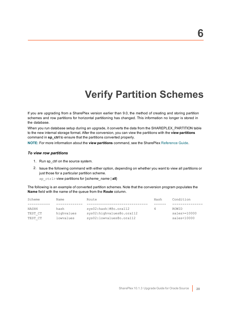# **Verify Partition Schemes**

<span id="page-19-0"></span>If you are upgrading from a SharePlex version earlier than 9.0, the method of creating and storing partition schemes and row partitions for horizontal partitioning has changed. This information no longer is stored in the database.

When you run database setup during an upgrade, it converts the data from the SHAREPLEX\_PARTITION table to the new internal storage format. After the conversion, you can view the partitions with the **view partitions** command in **sp\_ctrl** to ensure that the partitions converted properly.

**NOTE:** For more information about the **view partitions** command, see the SharePlex [Reference](https://support.quest.com/shareplex) Guide.

#### *To view row partitions*

- 1. Run sp\_ctrl on the source system.
- 2. Issue the following command with either option, depending on whether you want to view all partitions or just those for a particular partition scheme.

sp\_ctrl> view partitions for {*scheme\_name* | **all**}

The following is an example of converted partition schemes. Note that the conversion program populates the **Name** field with the name of the queue from the **Route** column.

| Scheme  | Name       | Route                     | Hash | Condition           |
|---------|------------|---------------------------|------|---------------------|
| HASH4   | hash       | sys02:hash #@o.ora112     | 4    | ROWID               |
| TEST CT | highvalues | sys02:highvalues@o.ora112 |      | $sales$ $> = 10000$ |
| TEST CT | lowyalues  | sys02:lowvalues@o.ora112  |      | sales<10000         |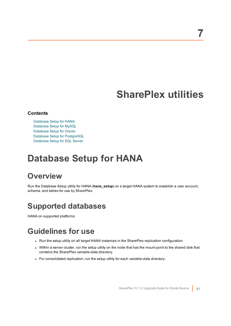# **SharePlex utilities**

### <span id="page-20-0"></span>**Contents**

[Database](#page-20-1) Setup for HANA [Database](#page-23-1) Setup for MySQL [Database](#page-27-0) Setup for Oracle Database Setup for [PostgreSQL](#page-38-0) [Database](#page-42-0) Setup for SQL Server

# <span id="page-20-1"></span>**Database Setup for HANA**

# <span id="page-20-2"></span>**Overview**

Run the Database Setup utility for HANA (**hana\_setup**) on a target HANA system to establish a user account, schema, and tables for use by SharePlex.

# <span id="page-20-3"></span>**Supported databases**

<span id="page-20-4"></span>HANA on supported platforms

# **Guidelines for use**

- Run the setup utility on all target HANA instances in the SharePlex replication configuration.
- Within a server cluster, run the setup utility on the node that has the mount point to the shared disk that contains the SharePlex variable-data directory.
- For consolidated replication, run the setup utility for each variable-data directory.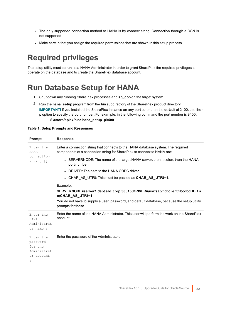- The only supported connection method to HANA is by connect string. Connection through a DSN is not supported.
- Make certain that you assign the required permissions that are shown in this setup process.

# <span id="page-21-0"></span>**Required privileges**

The setup utility must be run as a HANA Administrator in order to grant SharePlex the required privileges to operate on the database and to create the SharePlex database account.

# <span id="page-21-1"></span>**Run Database Setup for HANA**

- 1. Shut down any running SharePlex processes and **sp\_cop** on the target system.
- 2. Run the **hana\_setup** program from the **bin** subdirectory of the SharePlex product directory. **IMPORTANT!** If you installed the SharePlex instance on any port other than the default of 2100, use the  **p** option to specify the port number. For example, in the following command the port number is 9400.

### **\$ /users/splex/bin> hana\_setup -p9400**

#### **Table 1: Setup Prompts and Responses**

| <b>Prompt</b>                                                 | <b>Response</b>                                                                                                                                              |
|---------------------------------------------------------------|--------------------------------------------------------------------------------------------------------------------------------------------------------------|
| Enter the<br><b>HANA</b><br>connection<br>string $[]$ :       | Enter a connection string that connects to the HANA database system. The required<br>components of a connection string for SharePlex to connect to HANA are: |
|                                                               | • SERVERNODE: The name of the target HANA server, then a colon, then the HANA<br>port number.                                                                |
|                                                               | • DRIVER: The path to the HANA ODBC driver.                                                                                                                  |
|                                                               | • CHAR AS UTF8: This must be passed as <b>CHAR_AS_UTF8=1</b> .                                                                                               |
|                                                               | Example:                                                                                                                                                     |
|                                                               | SERVERNODE=server1.dept.abc.corp:30015;DRIVER=/usr/sap/hdbclient/libodbcHDB.s<br>o;CHAR AS UTF8=1                                                            |
|                                                               | You do not have to supply a user, password, and default database, because the setup utility<br>prompts for those.                                            |
| Enter the<br><b>HANA</b><br>Administrat<br>or name :          | Enter the name of the HANA Administrator. This user will perform the work on the SharePlex<br>account.                                                       |
| Enter the<br>password<br>for the<br>Administrat<br>or account | Enter the password of the Administrator.                                                                                                                     |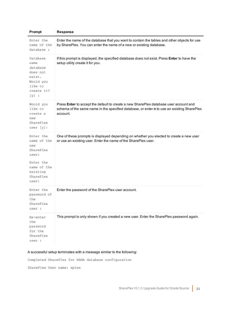| Prompt                                                                                                              | <b>Response</b>                                                                                                                                                                                 |
|---------------------------------------------------------------------------------------------------------------------|-------------------------------------------------------------------------------------------------------------------------------------------------------------------------------------------------|
| Enter the<br>name of the<br>database :                                                                              | Enter the name of the database that you want to contain the tables and other objects for use<br>by SharePlex. You can enter the name of a new or existing database.                             |
| Database<br>name<br>database<br>does not<br>exist.<br>Would you<br>like to<br>create it?<br>$[y]$ :                 | If this prompt is displayed, the specified database does not exist. Press Enter to have the<br>setup utility create it for you.                                                                 |
| Would you<br>like to<br>create a<br>new<br>SharePlex<br>user $[y]$ :                                                | Press Enter to accept the default to create a new SharePlex database user account and<br>schema of the same name in the specified database, or enter n to use an existing SharePlex<br>account. |
| Enter the<br>name of the<br>new<br>SharePlex<br>user:<br>Enter the<br>name of the<br>existing<br>SharePlex<br>user: | One of these prompts is displayed depending on whether you elected to create a new user<br>or use an existing user. Enter the name of the SharePlex user.                                       |
| Enter the<br>password of<br>the<br>SharePlex<br>user :                                                              | Enter the password of the SharePlex user account.                                                                                                                                               |
| Re-enter<br>the<br>password<br>for the<br>SharePlex<br>user :                                                       | This prompt is only shown if you created a new user. Enter the SharePlex password again.                                                                                                        |

### A successful setup terminates with a message similar to the following:

Completed SharePlex for HANA database configuration

SharePlex User name: splex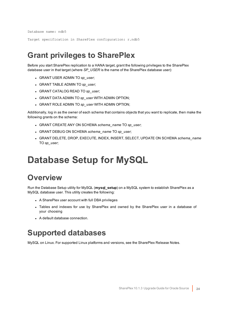Database name: ndb5

<span id="page-23-0"></span>Target specification in SharePlex configuration: r.ndb5

## **Grant privileges to SharePlex**

Before you start SharePlex replication to a HANA target, grant the following privileges to the SharePlex database user in that target (where *SP\_USER* is the name of the SharePlex database user):

- <sup>l</sup> GRANT USER ADMIN TO *sp\_user*;
- <sup>l</sup> GRANT TABLE ADMIN TO *sp\_user*;
- <sup>l</sup> GRANT CATALOG READ TO *sp\_user*;
- <sup>l</sup> GRANT DATA ADMIN TO *sp\_user* WITH ADMIN OPTION;
- <sup>l</sup> GRANT ROLE ADMIN TO *sp\_user* WITH ADMIN OPTION;

Additionally, log in as the owner of each schema that contains objects that you want to replicate, then make the following grants on the schema:

- <sup>l</sup> GRANT CREATE ANY ON SCHEMA *schema\_name* TO *sp\_user*;
- <sup>l</sup> GRANT DEBUG ON SCHEMA *schema\_name* TO *sp\_user*;
- <sup>l</sup> GRANT DELETE, DROP, EXECUTE, INDEX, INSERT, SELECT, UPDATE ON SCHEMA *schema\_name* TO *sp\_user*;

# <span id="page-23-1"></span>**Database Setup for MySQL**

## <span id="page-23-2"></span>**Overview**

Run the Database Setup utility for MySQL (**mysql\_setup**) on a MySQL system to establish SharePlex as a MySQL database user. This utility creates the following:

- A SharePlex user account with full DBA privileges
- Tables and indexes for use by SharePlex and owned by the SharePlex user in a database of your choosing
- <span id="page-23-3"></span>• A default database connection.

## **Supported databases**

MySQL on Linux. For supported Linux platforms and versions, see the SharePlex Release Notes.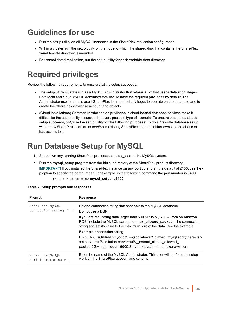# <span id="page-24-0"></span>**Guidelines for use**

- Run the setup utility on all MySQL instances in the SharePlex replication configuration.
- Within a cluster, run the setup utility on the node to which the shared disk that contains the SharePlex variable-data directory is mounted.
- For consolidated replication, run the setup utility for each variable-data directory.

# <span id="page-24-1"></span>**Required privileges**

Review the following requirements to ensure that the setup succeeds.

- The setup utility must be run as a MySQL Administrator that retains all of that user's default privileges. Both local and cloud MySQL Administrators should have the required privileges by default. The Administrator user is able to grant SharePlex the required privileges to operate on the database and to create the SharePlex database account and objects.
- <sup>l</sup> (Cloud installations) Common restrictions on privileges in cloud-hosted database services make it difficult for the setup utility to succeed in every possible type of scenario. To ensure that the database setup succeeds, *only* use the setup utility for the following purposes: To do a *first-time* database setup with a *new* SharePlex user, or, to *modify* an existing SharePlex user that either owns the database or has access to it.

# <span id="page-24-2"></span>**Run Database Setup for MySQL**

- 1. Shut down any running SharePlex processes and **sp\_cop** on the MySQL system.
- 2. Run the **mysql\_setup** program from the **bin** subdirectory of the SharePlex product directory. **IMPORTANT!** If you installed the SharePlex instance on any port other than the default of 2100, use the  **p** option to specify the port number. For example, in the following command the port number is 9400. C:\users\splex\bin> **mysql\_setup -p9400**

| Prompt                                    | <b>Response</b>                                                                                                                                                                                                                 |
|-------------------------------------------|---------------------------------------------------------------------------------------------------------------------------------------------------------------------------------------------------------------------------------|
| Enter the MySQL<br>connection string [] : | Enter a connection string that connects to the MySQL database.<br>Do not use a DSN.                                                                                                                                             |
|                                           | If you are replicating data larger than 500 MB to MySQL Aurora on Amazon<br>RDS, include the MySQL parameter max_allowed_packet in the connection<br>string and set its value to the maximum size of the data. See the example. |
|                                           | <b>Example connection string</b>                                                                                                                                                                                                |
|                                           | DRIVER=/usr/lib64/libmyodbc5.so;socket=/var/lib/mysql/mysql.sock;character-<br>set-server=utf8;collation-server=utf8 general ci;max allowed<br>packet=2G;wait_timeout= 6000;Server=servername.amazonaws.com                     |
| Enter the MySQL<br>Administrator name:    | Enter the name of the MySQL Administrator. This user will perform the setup<br>work on the SharePlex account and schema.                                                                                                        |

|  |  | Table 2: Setup prompts and responses |
|--|--|--------------------------------------|
|--|--|--------------------------------------|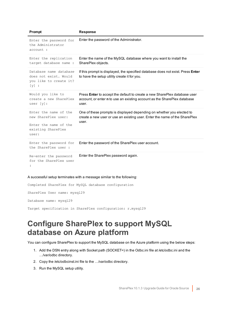| Prompt                                                                                               | <b>Response</b>                                                                                                                                                              |
|------------------------------------------------------------------------------------------------------|------------------------------------------------------------------------------------------------------------------------------------------------------------------------------|
| Enter the password for<br>the Administrator<br>account :                                             | Enter the password of the Administrator.                                                                                                                                     |
| Enter the replication<br>target database name :                                                      | Enter the name of the MySQL database where you want to install the<br>SharePlex objects.                                                                                     |
| Database name database<br>does not exist. Would<br>you like to create it?<br>$[y]$ :                 | If this prompt is displayed, the specified database does not exist. Press <b>Enter</b><br>to have the setup utility create it for you.                                       |
| Would you like to<br>create a new SharePlex<br>user $[y]$ :                                          | Press <b>Enter</b> to accept the default to create a new SharePlex database user<br>account, or enter <b>n</b> to use an existing account as the SharePlex database<br>user. |
| Enter the name of the<br>new SharePlex user:<br>Enter the name of the<br>existing SharePlex<br>user: | One of these prompts is displayed depending on whether you elected to<br>create a new user or use an existing user. Enter the name of the SharePlex<br>user.                 |
| Enter the password for<br>the SharePlex user:                                                        | Enter the password of the SharePlex user account.                                                                                                                            |
| Re-enter the password<br>for the SharePlex user                                                      | Enter the SharePlex password again.                                                                                                                                          |

### A successful setup terminates with a message similar to the following:

Completed SharePlex for MySQL database configuration SharePlex User name: mysql29 Database name: mysql29

<span id="page-25-0"></span>Target specification in SharePlex configuration: r.mysql29

## **Configure SharePlex to support MySQL database on Azure platform**

You can configure SharePlex to support the MySQL database on the Azure platform using the below steps:

- 1. Add the DSN entry along with Socket path (SOCKET=) in the Odbc.ini file at /etc/odbc.ini and the …/var/odbc directory.
- 2. Copy the /etc/odbcinst.ini file to the …/var/odbc directory.
- 3. Run the MySQL setup utility.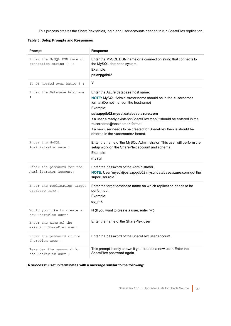This process creates the SharePlex tables, login and user accounts needed to run SharePlex replication.

**Table 3: Setup Prompts and Responses**

| Prompt                                                | <b>Response</b>                                                                                                                                                                                                                                                                                                                                                                                                                                                    |
|-------------------------------------------------------|--------------------------------------------------------------------------------------------------------------------------------------------------------------------------------------------------------------------------------------------------------------------------------------------------------------------------------------------------------------------------------------------------------------------------------------------------------------------|
| Enter the MySQL DSN name or<br>connection string [] : | Enter the MySQL DSN name or a connection string that connects to<br>the MySQL database system.<br>Example:<br>pslazpgdb02                                                                                                                                                                                                                                                                                                                                          |
| Is DB hosted over Azure ? :                           | Y                                                                                                                                                                                                                                                                                                                                                                                                                                                                  |
| Enter the Database hostname<br>$\ddot{\phantom{a}}$   | Enter the Azure database host name.<br>NOTE: MySQL Administrator name should be in the <username><br/>format (Do not mention the hostname)<br/>Example:<br/>pslazpgdb02.mysql.database.azure.com<br/>If a user already exists for SharePlex then it should be entered in the<br/><username@hostname> format.<br/>If a new user needs to be created for SharePlex then is should be<br/>entered in the <username> format.</username></username@hostname></username> |
| Enter the MySQL<br>Administrator name :               | Enter the name of the MySQL Administrator. This user will perform the<br>setup work on the SharePlex account and schema.<br>Example:<br>mysql                                                                                                                                                                                                                                                                                                                      |
| Enter the password for the<br>Administrator account:  | Enter the password of the Administrator.<br>NOTE: User 'mysql@pslazpgdb02.mysql.database.azure.com' got the<br>superuser role.                                                                                                                                                                                                                                                                                                                                     |
| Enter the replication target<br>database name :       | Enter the target database name on which replication needs to be<br>performed.<br>Example:<br>sp_mk                                                                                                                                                                                                                                                                                                                                                                 |
| Would you like to create a<br>new SharePlex user?     | N (If you want to create a user, enter "y")                                                                                                                                                                                                                                                                                                                                                                                                                        |
| Enter the name of the<br>existing SharePlex user:     | Enter the name of the SharePlex user.                                                                                                                                                                                                                                                                                                                                                                                                                              |
| Enter the password of the<br>SharePlex user :         | Enter the password of the SharePlex user account.                                                                                                                                                                                                                                                                                                                                                                                                                  |
| Re-enter the password for<br>the SharePlex user :     | This prompt is only shown if you created a new user. Enter the<br>SharePlex password again.                                                                                                                                                                                                                                                                                                                                                                        |

**A successful setup terminates with a message similar to the following:**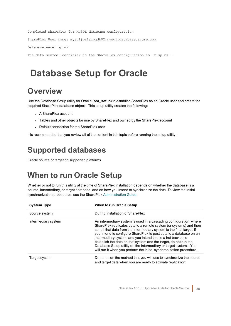```
Completed SharePlex for MySQL database configuration
SharePlex User name: mysql@pslazpgdb02.mysql.database.azure.com
Database name: sp_mk
The data source identifier in the SharePlex configuration is 'r.sp mk' -
```
# <span id="page-27-0"></span>**Database Setup for Oracle**

## <span id="page-27-1"></span>**Overview**

Use the Database Setup utility for Oracle (**ora\_setup**) to establish SharePlex as an Oracle user and create the required SharePlex database objects. This setup utility creates the following:

- A SharePlex account
- Tables and other objects for use by SharePlex and owned by the SharePlex account
- Default connection for the SharePlex user

<span id="page-27-2"></span>It is recommended that you review all of the content in this topic before running the setup utility.

# **Supported databases**

<span id="page-27-3"></span>Oracle source or target on supported platforms

# **When to run Oracle Setup**

Whether or not to run this utility at the time of SharePlex installation depends on whether the database is a source, intermediary, or target database, and on how you intend to synchronize the data. To view the initial synchronization procedures, see the SharePlex [Administration](https://support.quest.com/shareplex) Guide.

| <b>System Type</b>  | <b>When to run Oracle Setup</b>                                                                                                                                                                                                                                                                                                                                                                                                                                                                                                                                      |
|---------------------|----------------------------------------------------------------------------------------------------------------------------------------------------------------------------------------------------------------------------------------------------------------------------------------------------------------------------------------------------------------------------------------------------------------------------------------------------------------------------------------------------------------------------------------------------------------------|
| Source system       | During installation of SharePlex                                                                                                                                                                                                                                                                                                                                                                                                                                                                                                                                     |
| Intermediary system | An intermediary system is used in a cascading configuration, where<br>SharePlex replicates data to a remote system (or systems) and then<br>sends that data from the intermediary system to the final target. If<br>you intend to configure SharePlex to post data to a database on an<br>intermediary system, and you intend to use a hot backup to<br>establish the data on that system and the target, do not run the<br>Database Setup utility on the intermediary or target systems. You<br>will run it when you perform the initial synchronization procedure. |
| Target system       | Depends on the method that you will use to synchronize the source<br>and target data when you are ready to activate replication:                                                                                                                                                                                                                                                                                                                                                                                                                                     |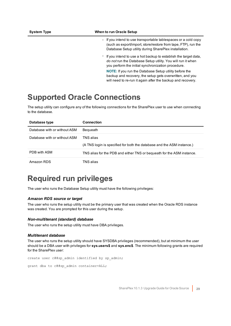### **System Type When to run Oracle Setup**

- o If you intend to use transportable tablespaces or a cold copy (such as export/import, store/restore from tape, FTP), run the Database Setup utility during SharePlex installation.
- $\degree$  If you intend to use a hot backup to establish the target data, *do not* run the Database Setup utility. You will run it when you perform the initial synchronization procedure.

**NOTE:** If you run the Database Setup utility before the backup and recovery, the setup gets overwritten, and you will need to re-run it again after the backup and recovery.

## <span id="page-28-0"></span>**Supported Oracle Connections**

The setup utility can configure any of the following connections for the SharePlex user to use when connecting to the database.

| Database type                | <b>Connection</b>                                                                   |
|------------------------------|-------------------------------------------------------------------------------------|
| Database with or without ASM | Bequeath                                                                            |
| Database with or without ASM | TNS alias<br>(A TNS login is specified for both the database and the ASM instance.) |
| PDB with ASM                 | TNS alias for the PDB and either TNS or bequeath for the ASM instance.              |
| Amazon RDS                   | TNS alias                                                                           |

## <span id="page-28-1"></span>**Required run privileges**

The user who runs the Database Setup utility must have the following privileges:

#### *Amazon RDS source or target*

The user who runs the setup utility must be the primary user that was created when the Oracle RDS instance was created. You are prompted for this user during the setup.

#### *Non-multitenant (standard) database*

The user who runs the setup utility must have DBA privileges.

### *Multitenant database*

The user who runs the setup utility should have SYSDBA privileges (recommended), but at minimum the user should be a DBA user with privileges for **sys.users\$** and **sys.enc\$**. The minimum following grants are required for the SharePlex user:

```
create user c##sp_admin identified by sp_admin;
```
grant dba to c##sp admin container=ALL;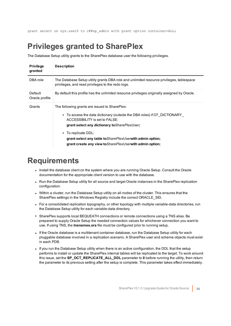<span id="page-29-0"></span>grant select on sys.user\$ to c##sp\_admin with grant option container=ALL;

## **Privileges granted to SharePlex**

The Database Setup utility grants to the SharePlex database user the following privileges.

| <b>Privilege</b><br>granted | <b>Description</b>                                                                                                                                                                                                                                                                                                                                                               |
|-----------------------------|----------------------------------------------------------------------------------------------------------------------------------------------------------------------------------------------------------------------------------------------------------------------------------------------------------------------------------------------------------------------------------|
| DBA role                    | The Database Setup utility grants DBA role and unlimited resource privileges, tablespace<br>privileges, and read privileges to the redo logs.                                                                                                                                                                                                                                    |
| Default<br>Oracle profile   | By default this profile has the unlimited resource privileges originally assigned by Oracle.                                                                                                                                                                                                                                                                                     |
| Grants                      | The following grants are issued to SharePlex:<br>• To access the data dictionary (outside the DBA roles) if O7 DICTIONARY<br>ACCESSIBILITY is set to FALSE:<br>grant select any dictionary to Share PlexUser;<br>• To replicate DDL:<br>grant select any table to <i>Share PlexUser</i> with admin option;<br>grant create any view to <i>Share Plex User</i> with admin option; |

### <span id="page-29-1"></span>**Requirements**

- Install the database client on the system where you are running Oracle Setup. Consult the Oracle documentation for the appropriate client version to use with the database.
- Run the Database Setup utility for all source and target Oracle instances in the SharePlex replication configuration.
- Within a cluster, run the Database Setup utility on all nodes of the cluster. This ensures that the SharePlex settings in the Windows Registry include the correct ORACLE\_SID.
- For a consolidated replication topography, or other topology with multiple variable-data directories, run the Database Setup utility for each variable-data directory.
- SharePlex supports local BEQUEATH connections or remote connections using a TNS alias. Be prepared to supply Oracle Setup the needed connection values for whichever connection you want to use. If using TNS, the **tnsnames.ora** file must be configured prior to running setup.
- If the Oracle database is a multitenant container database, run the Database Setup utility for each pluggable database involved in a replication scenario. A SharePlex user and schema objects must exist in each PDB.
- If you run the Database Setup utility when there is an active configuration, the DDL that the setup performs to install or update the SharePlex internal tables will be replicated to the target. To work around this issue, set the **SP\_OCT\_REPLICATE\_ALL\_DDL** parameter to **0** before running the utility, then return the parameter to its previous setting after the setup is complete. This parameter takes effect immediately.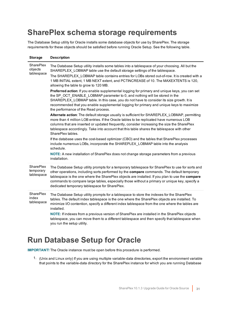## <span id="page-30-0"></span>**SharePlex schema storage requirements**

The Database Setup utility for Oracle installs some database objects for use by SharePlex. The storage requirements for these objects should be satisfied before running Oracle Setup. See the following table.

| <b>Storage</b>                          | <b>Description</b>                                                                                                                                                                                                                                                                                                                                                                                                                                  |
|-----------------------------------------|-----------------------------------------------------------------------------------------------------------------------------------------------------------------------------------------------------------------------------------------------------------------------------------------------------------------------------------------------------------------------------------------------------------------------------------------------------|
| SharePlex<br>objects<br>tablespace      | The Database Setup utility installs some tables into a tablespace of your choosing. All but the<br>SHAREPLEX_LOBMAP table use the default storage settings of the tablespace.<br>The SHAREPLEX_LOBMAP table contains entries for LOBs stored out-of-row. It is created with a                                                                                                                                                                       |
|                                         | 1 MB INITIAL extent, 1 MB NEXT extent, and PCTINCREASE of 10. The MAXEXTENTS is 120,<br>allowing the table to grow to 120 MB.                                                                                                                                                                                                                                                                                                                       |
|                                         | Preferred action: If you enable supplemental logging for primary and unique keys, you can set<br>the SP_OCT_ENABLE_LOBMAP parameter to 0, and nothing will be stored in the<br>SHAREPLEX_LOBMAP table. In this case, you do not have to consider its size growth. It is<br>recommended that you enable supplemental logging for primary and unique keys to maximize<br>the performance of the Read process.                                         |
|                                         | Alternate action: The default storage usually is sufficient for SHAREPLEX_LOBMAP, permitting<br>more than 4 million LOB entries. If the Oracle tables to be replicated have numerous LOB<br>columns that are inserted or updated frequently, consider increasing the size the SharePlex<br>tablespace accordingly. Take into account that this table shares the tablespace with other<br>SharePlex tables.                                          |
|                                         | If the database uses the cost-based optimizer (CBO) and the tables that SharePlex processes<br>include numerous LOBs, incorporate the SHAREPLEX_LOBMAP table into the analysis<br>schedule.                                                                                                                                                                                                                                                         |
|                                         | NOTE: A new installation of SharePlex does not change storage parameters from a previous<br>installation.                                                                                                                                                                                                                                                                                                                                           |
| SharePlex<br>temporary<br>tablespace    | The Database Setup utility prompts for a temporary tablespace for SharePlex to use for sorts and<br>other operations, including sorts performed by the compare commands. The default temporary<br>tablespace is the one where the SharePlex objects are installed. If you plan to use the compare<br>commands to compare large tables, especially those without a primary or unique key, specify a<br>dedicated temporary tablespace for SharePlex. |
| <b>SharePlex</b><br>index<br>tablespace | The Database Setup utility prompts for a tablespace to store the indexes for the SharePlex<br>tables. The default index tablespace is the one where the SharePlex objects are installed. To<br>minimize I/O contention, specify a different index tablespace from the one where the tables are<br>installed.                                                                                                                                        |
|                                         | NOTE: If indexes from a previous version of SharePlex are installed in the SharePlex objects<br>tablespace, you can move them to a different tablespace and then specify that tablespace when<br>you run the setup utility.                                                                                                                                                                                                                         |

## <span id="page-30-1"></span>**Run Database Setup for Oracle**

**IMPORTANT!** The Oracle instance must be open before this procedure is performed.

1. (Unix and Linux only) If you are using multiple variable-data directories, export the environment variable that points to the variable-data directory for the SharePlex instance for which you are running Database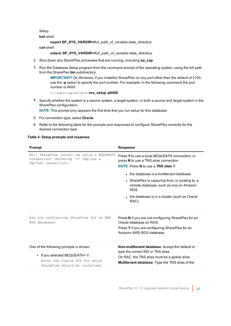Setup.

**ksh** shell:

**export SP\_SYS\_VARDIR=/***full\_path\_of\_variable-data\_directory*

**csh** shell:

**setenv SP\_SYS\_VARDIR=/***full\_path\_of\_variable-data\_directory*

- 2. Shut down any SharePlex processes that are running, including **sp\_cop**.
- 3. Run the Database Setup program from the command prompt of the operating system, using the full path from the SharePlex **bin** subdirectory.

**IMPORTANT!** On Windows, if you installed SharePlex on any port other than the default of 2100, use the **-p** option to specify the port number. For example, in the following command the port number is 9400:

C:\users\splex\bin>**ora\_setup -p9400**

4. Specify whether the system is a source system, a target system, or both a source and target system in the SharePlex configuration.

**NOTE**: This prompt only appears the first time that you run setup for this database.

- 5. For connection type, select **Oracle**.
- 6. Refer to the following table for the prompts and responses to configure SharePlex correctly for the desired connection type.

#### **Table 4: Setup prompts and response**

| <b>Prompt</b>                                                                                                                                | <b>Response</b>                                                                                                                                                                                                                                                                                                                                    |
|----------------------------------------------------------------------------------------------------------------------------------------------|----------------------------------------------------------------------------------------------------------------------------------------------------------------------------------------------------------------------------------------------------------------------------------------------------------------------------------------------------|
| Will SharePlex install be using a BEQUEATH<br>connection? (Entering 'n' implies a<br>SQL*net connection):                                    | Press Y to use a local BEQUEATH connection, or<br>press N to use a TNS alias connection.<br><b>NOTE:</b> Press N to use a TNS alias if:<br>• the database is a multitenant database<br>• SharePlex is capturing from, or posting to, a<br>remote database, such as one on Amazon<br>RDS.<br>• the database is in a cluster (such as Oracle<br>RAC) |
| Are you configuring SharePlex for an AWS<br>RDS database?                                                                                    | Press N if you are not configuring SharePlex for an<br>Oracle database on RDS.<br>Press Y if you are configuring SharePlex for an<br>Amazon AWS RDS database.                                                                                                                                                                                      |
| One of the following prompts is shown:<br>• If you selected BEQUEATH= Y:<br>Enter the Oracle SID for which<br>SharePlex should be installed: | <b>Non-multitenant database:</b> Accept the default or<br>type the correct SID or TNS alias.<br>On RAC, the TNS alias must be a global alias.<br><b>Multitenant database:</b> Type the TNS alias of the                                                                                                                                            |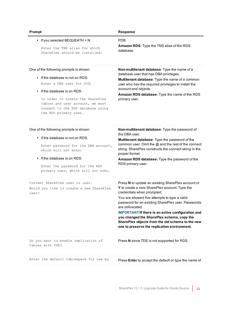| Prompt                                                                                                                                                                                                                                                                        | <b>Response</b>                                                                                                                                                                                                                                                                                                                                                                                                                                                           |
|-------------------------------------------------------------------------------------------------------------------------------------------------------------------------------------------------------------------------------------------------------------------------------|---------------------------------------------------------------------------------------------------------------------------------------------------------------------------------------------------------------------------------------------------------------------------------------------------------------------------------------------------------------------------------------------------------------------------------------------------------------------------|
| • If you selected BEQUEATH = $N$ :<br>Enter the TNS alias for which<br>SharePlex should be installed:                                                                                                                                                                         | PDB.<br>Amazon RDS: Type the TNS alias of the RDS<br>database.                                                                                                                                                                                                                                                                                                                                                                                                            |
| One of the following prompts is shown:<br>• If the database is not on RDS:<br>Enter a DBA user for SID:<br>• If the database is on RDS:<br>In order to create the SharePlex<br>tables and user account, we must<br>connect to the RDS database using<br>the RDS primary user. | Non-multitenant database: Type the name of a<br>database user that has DBA privileges.<br>Multitenant database: Type the name of a common<br>user who has the required privileges to install the<br>account and objects.<br>Amazon RDS database: Type the name of the RDS<br>primary user.                                                                                                                                                                                |
| One of the following prompts is shown:<br>$\bullet$ If the database is not on RDS:<br>Enter password for the DBA account,<br>which will not echo:<br>If the database is on RDS:<br>Enter the password for the RDS<br>primary user, which will not echo.                       | Non-multitenant database: Type the password of<br>the DBA user.<br>Multitenant database: Type the password of the<br>common user. Omit the @ and the rest of the connect<br>string. SharePlex constructs the connect string in the<br>proper format.<br>Amazon RDS database: Type the password of the<br>RDS primary user.                                                                                                                                                |
| Current SharePlex user is user.<br>Would you like to create a new SharePlex<br>user?                                                                                                                                                                                          | Press N to update an existing SharePlex account or<br>Y to create a new SharePlex account. Type the<br>credentials when prompted.<br>You are allowed five attempts to type a valid<br>password for an existing SharePlex user. Passwords<br>are obfuscated.<br><b>IMPORTANT!If there is an active configuration and</b><br>you changed the SharePlex schema, copy the<br>SharePlex objects from the old schema to the new<br>one to preserve the replication environment. |
| Do you want to enable replication of<br>tables with TDE?                                                                                                                                                                                                                      | Press N since TDE is not supported for RDS.                                                                                                                                                                                                                                                                                                                                                                                                                               |
| Enter the default tablespace for use by                                                                                                                                                                                                                                       | Press Enter to accept the default or type the name of                                                                                                                                                                                                                                                                                                                                                                                                                     |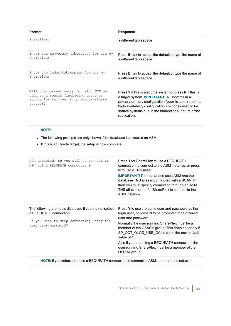| Prompt                                                                                                                               | <b>Response</b>                                                                                                                                                                                                                                                                                           |
|--------------------------------------------------------------------------------------------------------------------------------------|-----------------------------------------------------------------------------------------------------------------------------------------------------------------------------------------------------------------------------------------------------------------------------------------------------------|
| SharePlex:                                                                                                                           | a different tablespace.                                                                                                                                                                                                                                                                                   |
| Enter the temporary tablespace for use by<br>SharePlex:                                                                              | Press <b>Enter</b> to accept the default or type the name of<br>a different tablespace.                                                                                                                                                                                                                   |
| Enter the index tablespace for use by<br>SharePIex:                                                                                  | Press <b>Enter</b> to accept the default or type the name of<br>a different tablespace.                                                                                                                                                                                                                   |
| Will the current setup for sid: SID be<br>used as a source (including cases as<br>source for failover or primary-primary<br>setups)? | Press Y if this is a source system or press N if this is<br>a target system. <b>IMPORTANT:</b> All systems in a<br>primary-primary configuration (peer-to-peer) and in a<br>high-availability configuration are considered to be<br>source systems due to the bidirectional nature of the<br>replication. |

### **NOTE:**

- The following prompts are only shown if the database is a source on ASM.
- If this is an Oracle target, the setup is now complete.

| ASM detected. Do you wish to connect to<br>ASM using BEQUEATH connection?                                                                            | Press Y for SharePlex to use a BEQUEATH<br>connection to connect to the ASM instance, or press<br>N to use a TNS alias.<br><b>IMPORTANT!</b> If the database uses ASM and the<br>database TNS alias is configured with a SCAN IP,<br>then you must specify connection through an ASM<br>TNS alias in order for SharePlex to connect to the<br>ASM instance.                                                                 |
|------------------------------------------------------------------------------------------------------------------------------------------------------|-----------------------------------------------------------------------------------------------------------------------------------------------------------------------------------------------------------------------------------------------------------------------------------------------------------------------------------------------------------------------------------------------------------------------------|
| The following prompt is displayed if you did not select<br>a BEQUEATH connection:<br>Do you wish to keep connecting using the<br>same user/password? | Press Y to use the same user and password as the<br>login user, or press N to be prompted for a different<br>user and password.<br>Normally the user running SharePlex must be a<br>member of the OSASM group. This does not apply if<br>SP OCT OLOG USE OCI is set to the non-default<br>value of 1.<br>Also if you are using a BEQUEATH connection, the<br>user running SharePlex must be a member of the<br>OSDBA group. |

**NOTE:** If you selected to use a BEQUEATH connection to connect to ASM, the database setup is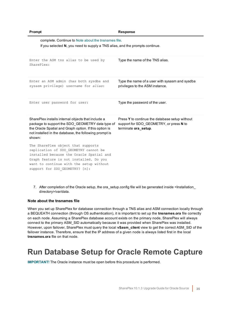| Prompt                                                                                                                                                                                                                                         | <b>Response</b>                                                                                                   |
|------------------------------------------------------------------------------------------------------------------------------------------------------------------------------------------------------------------------------------------------|-------------------------------------------------------------------------------------------------------------------|
| complete. Continue to Note about the tnsnames file.<br>If you selected N, you need to supply a TNS alias, and the prompts continue.                                                                                                            |                                                                                                                   |
| Enter the ASM tns alias to be used by<br>SharePlex:                                                                                                                                                                                            | Type the name of the TNS alias.                                                                                   |
| Enter an ASM admin (has both sysdba and<br>sysasm privilege) username for alias:                                                                                                                                                               | Type the name of a user with sysasm and sysdba<br>privileges to the ASM instance.                                 |
| Enter user password for user:                                                                                                                                                                                                                  | Type the password of the user.                                                                                    |
| SharePlex installs internal objects that include a<br>package to support the SDO GEOMETRY data type of<br>the Oracle Spatial and Graph option. If this option is<br>not installed in the database, the following prompt is<br>shown:           | Press Y to continue the database setup without<br>support for SDO GEOMETRY, or press N to<br>terminate ora_setup. |
| The SharePlex object that supports<br>replication of SDO GEOMETRY cannot be<br>installed because the Oracle Spatial and<br>Graph feature is not installed. Do you<br>want to continue with the setup without<br>support for SDO GEOMETRY? [n]: |                                                                                                                   |

7. After completion of the Oracle setup, the ora\_setup.config file will be generated inside <Installation\_ directory>/var/data.

### <span id="page-34-1"></span>**Note about the tnsnames file**

When you set up SharePlex for database connection through a TNS alias and ASM connection locally through a BEQUEATH connection (through OS authentication), it is important to set up the **tnsnames.ora** file correctly on each node. Assuming a SharePlex database account exists on the primary node, SharePlex will always connect to the primary ASM\_SID automatically because it was provided when SharePlex was installed. However, upon failover, SharePlex must query the local **v\$asm\_client** view to get the correct ASM\_SID of the failover instance. Therefore, ensure that the IP address of a given node is always listed first in the local **tnsnames.ora** file on that node.

## <span id="page-34-0"></span>**Run Database Setup for Oracle Remote Capture**

**IMPORTANT!** The Oracle instance must be open before this procedure is performed.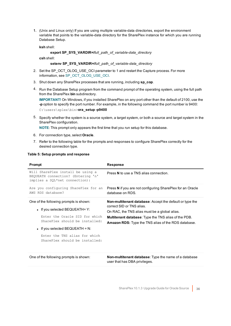1. (Unix and Linux only) If you are using multiple variable-data directories, export the environment variable that points to the variable-data directory for the SharePlex instance for which you are running Database Setup.

**ksh** shell:

#### **export SP\_SYS\_VARDIR=/***full\_path\_of\_variable-data\_directory*

**csh** shell:

### **setenv SP\_SYS\_VARDIR=/***full\_path\_of\_variable-data\_directory*

- 2. Set the SP\_OCT\_OLOG\_USE\_OCI parameter to 1 and restart the Capture process. For more information, see SP\_OCT\_OLOG\_USE\_OCI.
- 3. Shut down any SharePlex processes that are running, including **sp\_cop**.
- 4. Run the Database Setup program from the command prompt of the operating system, using the full path from the SharePlex **bin** subdirectory.

**IMPORTANT!** On Windows, if you installed SharePlex on any port other than the default of 2100, use the **-p** option to specify the port number. For example, in the following command the port number is 9400: C:\users\splex\bin>**ora\_setup -p9400**

5. Specify whether the system is a source system, a target system, or both a source and target system in the SharePlex configuration.

**NOTE**: This prompt only appears the first time that you run setup for this database.

- 6. For connection type, select **Oracle**.
- 7. Refer to the following table for the prompts and responses to configure SharePlex correctly for the desired connection type.

| Will SharePlex install be using a<br>BEQUEATH connection? (Entering 'n'<br>implies a SQL*net connection):                                                                                                                                             | Press N to use a TNS alias connection.                                                                                                                                                                                                                                     |
|-------------------------------------------------------------------------------------------------------------------------------------------------------------------------------------------------------------------------------------------------------|----------------------------------------------------------------------------------------------------------------------------------------------------------------------------------------------------------------------------------------------------------------------------|
| Are you configuring SharePlex for an<br>AWS RDS database?                                                                                                                                                                                             | Press N if you are not configuring SharePlex for an Oracle<br>database on RDS.                                                                                                                                                                                             |
| One of the following prompts is shown:<br>• If you selected BEQUEATH= $Y$ :<br>Enter the Oracle SID for which<br>SharePlex should be installed:<br>• If you selected BEQUEATH = N:<br>Enter the TNS alias for which<br>SharePlex should be installed: | <b>Non-multitenant database:</b> Accept the default or type the<br>correct SID or TNS alias.<br>On RAC, the TNS alias must be a global alias.<br><b>Multitenant database:</b> Type the TNS alias of the PDB.<br><b>Amazon RDS:</b> Type the TNS alias of the RDS database. |

#### **Table 5: Setup prompts and response**

| One of the following prompts is shown: |  |
|----------------------------------------|--|
|----------------------------------------|--|

Non-multitenant database: Type the name of a database user that has DBA privileges.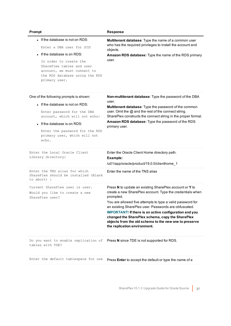| Prompt                                                                                                                                                                                                                                               | <b>Response</b>                                                                                                                                                                                                                                                                                                                                                                                                                                                         |
|------------------------------------------------------------------------------------------------------------------------------------------------------------------------------------------------------------------------------------------------------|-------------------------------------------------------------------------------------------------------------------------------------------------------------------------------------------------------------------------------------------------------------------------------------------------------------------------------------------------------------------------------------------------------------------------------------------------------------------------|
| . If the database is not on RDS:<br>Enter a DBA user for SID:<br>If the database is on RDS:<br>In order to create the<br>SharePlex tables and user<br>account, we must connect to<br>the RDS database using the RDS<br>primary user.                 | Multitenant database: Type the name of a common user<br>who has the required privileges to install the account and<br>objects.<br>Amazon RDS database: Type the name of the RDS primary<br>user.                                                                                                                                                                                                                                                                        |
| One of the following prompts is shown:<br>. If the database is not on RDS:<br>Enter password for the DBA<br>account, which will not echo:<br>• If the database is on RDS:<br>Enter the password for the RDS<br>primary user, which will not<br>echo. | Non-multitenant database: Type the password of the DBA<br>user.<br>Multitenant database: Type the password of the common<br>user. Omit the @ and the rest of the connect string.<br>SharePlex constructs the connect string in the proper format.<br>Amazon RDS database: Type the password of the RDS<br>primary user.                                                                                                                                                 |
| Enter the Local Oracle Client<br>Library directory:                                                                                                                                                                                                  | Enter the Oracle Client Home directory path.<br>Example:<br>/u01/app/oracle/product/19.0.0/clienthome_1                                                                                                                                                                                                                                                                                                                                                                 |
| Enter the TNS alias for which<br>SharePlex should be installed (Blank<br>to abort) :                                                                                                                                                                 | Enter the name of the TNS alias                                                                                                                                                                                                                                                                                                                                                                                                                                         |
| Current SharePlex user is user.<br>Would you like to create a new<br>SharePlex user?                                                                                                                                                                 | Press N to update an existing SharePlex account or Y to<br>create a new SharePlex account. Type the credentials when<br>prompted.<br>You are allowed five attempts to type a valid password for<br>an existing SharePlex user. Passwords are obfuscated.<br><b>IMPORTANT!</b> If there is an active configuration and you<br>changed the SharePlex schema, copy the SharePlex<br>objects from the old schema to the new one to preserve<br>the replication environment. |
| Do you want to enable replication of<br>tables with TDE?                                                                                                                                                                                             | Press N since TDE is not supported for RDS.                                                                                                                                                                                                                                                                                                                                                                                                                             |
| Enter the default tablespace for use                                                                                                                                                                                                                 | Press Enter to accept the default or type the name of a                                                                                                                                                                                                                                                                                                                                                                                                                 |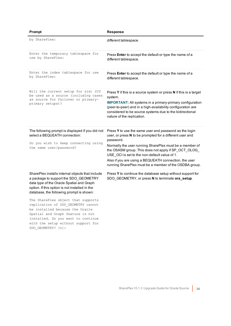| Prompt                                                                                                                                                                                                                                                                                                                                                                                                                                                                                    | <b>Response</b>                                                                                                                                                                                                                                                                                                                                                                                                        |
|-------------------------------------------------------------------------------------------------------------------------------------------------------------------------------------------------------------------------------------------------------------------------------------------------------------------------------------------------------------------------------------------------------------------------------------------------------------------------------------------|------------------------------------------------------------------------------------------------------------------------------------------------------------------------------------------------------------------------------------------------------------------------------------------------------------------------------------------------------------------------------------------------------------------------|
| by SharePlex:                                                                                                                                                                                                                                                                                                                                                                                                                                                                             | different tablespace.                                                                                                                                                                                                                                                                                                                                                                                                  |
| Enter the temporary tablespace for<br>use by SharePlex:                                                                                                                                                                                                                                                                                                                                                                                                                                   | Press <b>Enter</b> to accept the default or type the name of a<br>different tablespace.                                                                                                                                                                                                                                                                                                                                |
| Enter the index tablespace for use<br>by SharePlex:                                                                                                                                                                                                                                                                                                                                                                                                                                       | Press Enter to accept the default or type the name of a<br>different tablespace.                                                                                                                                                                                                                                                                                                                                       |
| Will the current setup for sid: SID<br>be used as a source (including cases<br>as source for failover or primary-<br>primary setups)?                                                                                                                                                                                                                                                                                                                                                     | Press Y if this is a source system or press N if this is a target<br>system.<br><b>IMPORTANT:</b> All systems in a primary-primary configuration<br>(peer-to-peer) and in a high-availability configuration are<br>considered to be source systems due to the bidirectional<br>nature of the replication.                                                                                                              |
| The following prompt is displayed if you did not<br>select a BEQUEATH connection:<br>Do you wish to keep connecting using<br>the same user/password?                                                                                                                                                                                                                                                                                                                                      | Press Y to use the same user and password as the login<br>user, or press N to be prompted for a different user and<br>password.<br>Normally the user running SharePlex must be a member of<br>the OSASM group. This does not apply if SP_OCT_OLOG_<br>USE OCI is set to the non-default value of 1.<br>Also if you are using a BEQUEATH connection, the user<br>running SharePlex must be a member of the OSDBA group. |
| SharePlex installs internal objects that include<br>a package to support the SDO_GEOMETRY<br>data type of the Oracle Spatial and Graph<br>option. If this option is not installed in the<br>database, the following prompt is shown:<br>The SharePlex object that supports<br>replication of SDO GEOMETRY cannot<br>be installed because the Oracle<br>Spatial and Graph feature is not<br>installed. Do you want to continue<br>with the setup without support for<br>SDO GEOMETRY? [n]: | Press Y to continue the database setup without support for<br>SDO_GEOMETRY, or press N to terminate ora_setup.                                                                                                                                                                                                                                                                                                         |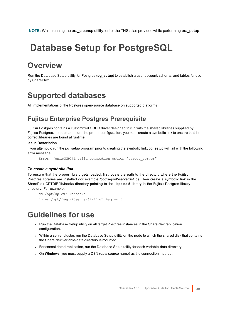<span id="page-38-0"></span>**NOTE:** While running the **ora\_cleansp** utility, enter the TNS alias provided while performing **ora\_setup**.

# **Database Setup for PostgreSQL**

# <span id="page-38-1"></span>**Overview**

Run the Database Setup utility for Postgres (**pg\_setup**) to establish a user account, schema, and tables for use by SharePlex.

## <span id="page-38-2"></span>**Supported databases**

<span id="page-38-3"></span>All implementations of the Postgres open-source database on supported platforms

### **Fujitsu Enterprise Postgres Prerequisite**

Fujitsu Postgres contains a customized ODBC driver designed to run with the shared libraries supplied by Fujitsu Postgres. In order to ensure the proper configuration, you must create a symbolic link to ensure that the correct libraries are found at runtime.

### **Issue Description**

If you attempt to run the pg\_setup program prior to creating the symbolic link, pg\_setup will fail with the following error message:

Error: [unixODBC]invalid connection option "target\_server"

### *To create a symbolic link*

To ensure that the proper library gets loaded, first locate the path to the directory where the Fujitsu Postgres libraries are installed (for example /opt/fsepv95server64/lib). Then create a symbolic link in the SharePlex OPTDIR/lib/hooks directory pointing to the **libpq.so.5** library in the Fujitsu Postgres library directory. For example:

```
cd /opt/splex/lib/hooks
ln –s /opt/fsepv95server64/lib/libpq.so.5
```
### <span id="page-38-4"></span>**Guidelines for use**

- Run the Database Setup utility on all target Postgres instances in the SharePlex replication configuration.
- Within a server cluster, run the Database Setup utility on the node to which the shared disk that contains the SharePlex variable-data directory is mounted.
- For consolidated replication, run the Database Setup utility for each variable-data directory.
- **.** On Windows, you must supply a DSN (data source name) as the connection method.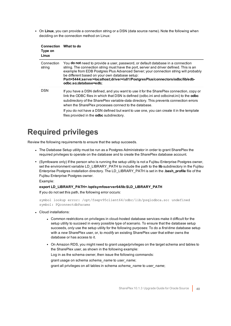• On Linux, you can provide a connection string or a DSN (data source name). Note the following when deciding on the connection method on Linux:

| <b>Connection</b><br>Type on<br>Linux | What to do                                                                                                                                                                                                                                                                                                                                                                                                                                                                                  |
|---------------------------------------|---------------------------------------------------------------------------------------------------------------------------------------------------------------------------------------------------------------------------------------------------------------------------------------------------------------------------------------------------------------------------------------------------------------------------------------------------------------------------------------------|
| Connection<br>string                  | You <b>do not</b> need to provide a user, password, or default database in a connection<br>string. The connection string must have the port, server and driver defined. This is an<br>example from EDB Postgres Plus Advanced Server; your connection string will probably<br>be different based on your own database setup:<br>Port=5444;server=localhost;driver=/u01/PostgresPlus/connectors/odbc/lib/edb-<br>odbc.so;database=edb;                                                       |
| <b>DSN</b>                            | If you have a DSN defined, and you want to use it for the SharePlex connection, copy or<br>link the ODBC files in which that DSN is defined (odbc.ini and odbcinst.ini) to the <b>odbc</b><br>subdirectory of the SharePlex variable-data directory. This prevents connection errors<br>when the SharePlex processes connect to the database.<br>If you do not have a DSN defined but want to use one, you can create it in the template<br>files provided in the <b>odbc</b> subdirectory. |

## <span id="page-39-0"></span>**Required privileges**

Review the following requirements to ensure that the setup succeeds.

- The Database Setup utility must be run as a Postgres Administrator in order to grant SharePlex the required privileges to operate on the database and to create the SharePlex database account.
- <sup>l</sup> (Symfoware only) If the person who is running the setup utility is not a Fujitsu Enterprise Postgres owner, set the environment variable LD\_LIBRARY\_PATH to include the path to the **lib** subdirectory in the Fujitsu Enterprise Postgres installation directory. The LD\_LIBRARY\_PATH is set in the **.bash\_profile** file of the Fujitsu Enterprise Postgres owner.

Example:

### **export LD\_LIBRARY\_PATH= /opt/symfoserver64/lib:\$LD\_LIBRARY\_PATH**

If you do not set this path, the following error occurs:

```
symbol lookup error: /opt/fsepv95client64/odbc/lib/psqlodbca.so: undefined
symbol: PQconnectdbParams
```
- Cloud installations:
	- Common restrictions on privileges in cloud-hosted database services make it difficult for the setup utility to succeed in every possible type of scenario. To ensure that the database setup succeeds, *only* use the setup utility for the following purposes: To do a *first-time* database setup with a *new* SharePlex user, or, to *modify* an existing SharePlex user that either owns the database or has access to it.
	- On Amazon RDS, you might need to grant usage/privileges on the target schema and tables to the SharePlex user, as shown in the following example: Log in as the schema owner, then issue the following commands: grant usage on schema *schema\_name* to *user\_name*; grant all privileges on all tables in schema *schema\_name* to *user\_name*;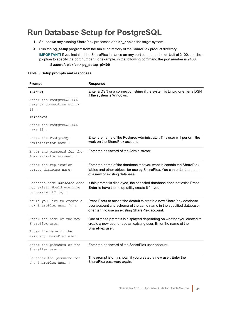# <span id="page-40-0"></span>**Run Database Setup for PostgreSQL**

- 1. Shut down any running SharePlex processes and **sp\_cop** on the target system.
- 2. Run the **pg\_setup** program from the **bin** subdirectory of the SharePlex product directory. **IMPORTANT!** If you installed the SharePlex instance on any port other than the default of 2100, use the  **p** option to specify the port number. For example, in the following command the port number is 9400. **\$ /users/splex/bin> pg\_setup -p9400**

### **Table 6: Setup prompts and responses**

| Prompt                                                                                                                                          | <b>Response</b>                                                                                                                                                                                 |
|-------------------------------------------------------------------------------------------------------------------------------------------------|-------------------------------------------------------------------------------------------------------------------------------------------------------------------------------------------------|
| (Linux)<br>Enter the PostgreSQL DSN<br>name or connection string<br>$\Box$ :<br>$(\texttt{Windows})$<br>Enter the PostgreSQL DSN<br>name $[]$ : | Enter a DSN or a connection string if the system is Linux, or enter a DSN<br>if the system is Windows.                                                                                          |
| Enter the PostgreSQL<br>Administrator name :                                                                                                    | Enter the name of the Postgres Administrator. This user will perform the<br>work on the SharePlex account.                                                                                      |
| Enter the password for the<br>Administrator account :                                                                                           | Enter the password of the Administrator.                                                                                                                                                        |
| Enter the replication<br>target database name:                                                                                                  | Enter the name of the database that you want to contain the SharePlex<br>tables and other objects for use by SharePlex. You can enter the name<br>of a new or existing database.                |
| Database name database does<br>not exist. Would you like<br>to create it? $[y]$ :                                                               | If this prompt is displayed, the specified database does not exist. Press<br>Enter to have the setup utility create it for you.                                                                 |
| Would you like to create a<br>new SharePlex user [y]:                                                                                           | Press Enter to accept the default to create a new SharePlex database<br>user account and schema of the same name in the specified database,<br>or enter n to use an existing SharePlex account. |
| Enter the name of the new<br>SharePlex user:<br>Enter the name of the<br>existing SharePlex user:                                               | One of these prompts is displayed depending on whether you elected to<br>create a new user or use an existing user. Enter the name of the<br>SharePlex user.                                    |
| Enter the password of the<br>SharePlex user :                                                                                                   | Enter the password of the SharePlex user account.                                                                                                                                               |
| Re-enter the password for<br>the SharePlex user :                                                                                               | This prompt is only shown if you created a new user. Enter the<br>SharePlex password again.                                                                                                     |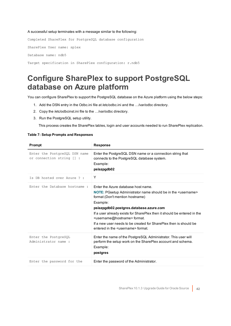#### A successful setup terminates with a message similar to the following:

Completed SharePlex for PostgreSQL database configuration SharePlex User name: splex Database name: ndb5 Target specification in SharePlex configuration: r.ndb5

## <span id="page-41-0"></span>**Configure SharePlex to support PostgreSQL database on Azure platform**

You can configure SharePlex to support the PostgreSQL database on the Azure platform using the below steps:

- 1. Add the DSN entry in the Odbc.ini file at /etc/odbc.ini and the …/var/odbc directory.
- 2. Copy the /etc/odbcinst.ini file to the …/var/odbc directory.
- 3. Run the PostgreSQL setup utility.

This process creates the SharePlex tables, login and user accounts needed to run SharePlex replication.

### **Table 7: Setup Prompts and Responses**

| Prompt                                                     | <b>Response</b>                                                                                                                                                                                                                                                                                                                                                                                                                                           |
|------------------------------------------------------------|-----------------------------------------------------------------------------------------------------------------------------------------------------------------------------------------------------------------------------------------------------------------------------------------------------------------------------------------------------------------------------------------------------------------------------------------------------------|
| Enter the PostgreSQL DSN name<br>or connection string [] : | Enter the PostgreSQL DSN name or a connection string that<br>connects to the PostgreSQL database system.<br>Example:<br>pslazpgdb02                                                                                                                                                                                                                                                                                                                       |
| Is DB hosted over Azure ? :                                | Υ                                                                                                                                                                                                                                                                                                                                                                                                                                                         |
| Enter the Database hostname:                               | Fnter the Azure database host name.<br>NOTE: PGsetup Administrator name should be in the <username><br/>format (Don't mention hostname)<br/>Example:<br/>pslazpgdb02.postgres.database.azure.com<br/>If a user already exists for SharePlex then it should be entered in the<br/><username@hostname> format.<br/>If a new user needs to be created for SharePlex then is should be<br/>entered in the susername&gt; format</username@hostname></username> |
| Enter the PostgreSQL<br>Administrator name:                | Enter the name of the PostgreSQL Administrator. This user will<br>perform the setup work on the SharePlex account and schema.<br>Example:<br>postgres                                                                                                                                                                                                                                                                                                     |
| Enter the password for the                                 | Enter the password of the Administrator.                                                                                                                                                                                                                                                                                                                                                                                                                  |
|                                                            |                                                                                                                                                                                                                                                                                                                                                                                                                                                           |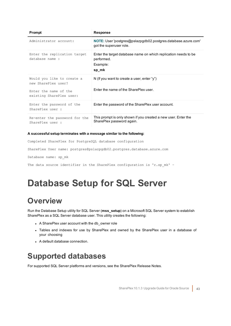| Prompt                                            | <b>Response</b>                                                                                    |
|---------------------------------------------------|----------------------------------------------------------------------------------------------------|
| Administrator account:                            | <b>NOTE:</b> User 'postgres@pslazpgdb02.postgres.database.azure.com'<br>got the superuser role.    |
| Enter the replication target<br>database name :   | Enter the target database name on which replication needs to be<br>performed.<br>Example:<br>sp_mk |
| Would you like to create a<br>new SharePlex user? | N (If you want to create a user, enter "y")                                                        |
| Enter the name of the<br>existing SharePlex user: | Enter the name of the SharePlex user.                                                              |
| Enter the password of the<br>SharePlex user :     | Enter the password of the SharePlex user account.                                                  |
| Re-enter the password for the<br>SharePlex user : | This prompt is only shown if you created a new user. Enter the<br>SharePlex password again.        |

### **A successful setup terminates with a message similar to the following:**

Completed SharePlex for PostgreSQL database configuration

SharePlex User name: postgres@pslazpgdb02.postgres.database.azure.com

Database name: sp\_mk

<span id="page-42-0"></span>The data source identifier in the SharePlex configuration is 'r.sp mk' -

# **Database Setup for SQL Server**

## <span id="page-42-1"></span>**Overview**

Run the Database Setup utility for SQL Server (**mss\_setup**) on a Microsoft SQL Server system to establish SharePlex as a SQL Server database user. This utility creates the following:

- A SharePlex user account with the db\_owner role
- Tables and indexes for use by SharePlex and owned by the SharePlex user in a database of your choosing
- A default database connection.

# <span id="page-42-2"></span>**Supported databases**

For supported SQL Server platforms and versions, see the SharePlex Release Notes.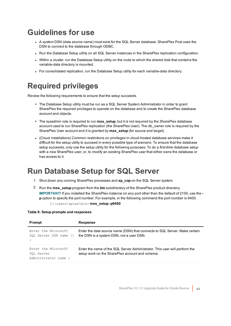# <span id="page-43-0"></span>**Guidelines for use**

- <sup>l</sup> A *system* DSN (data source name) must exist for the SQL Server database. SharePlex Post uses the DSN to connect to the database through ODBC.
- Run the Database Setup utility on all SQL Server instances in the SharePlex replication configuration.
- Within a cluster, run the Database Setup utility on the node to which the shared disk that contains the variable-data directory is mounted.
- For consolidated replication, run the Database Setup utility for each variable-data directory.

# <span id="page-43-1"></span>**Required privileges**

Review the following requirements to ensure that the setup succeeds.

- The Database Setup utility must be run as a SQL Server System Administrator in order to grant SharePlex the required privileges to operate on the database and to create the SharePlex database account and objects.
- The sysadmin role is required to run **mss setup**, but it is not required by the SharePlex database account used to run SharePlex replication (the SharePlex User). The db owner role is required by the SharePlex User account and it is granted by **mss\_setup** (for source and target).
- <sup>l</sup> (Cloud installations) Common restrictions on privileges in cloud-hosted database services make it difficult for the setup utility to succeed in every possible type of scenario. To ensure that the database setup succeeds, *only* use the setup utility for the following purposes: To do a *first-time* database setup with a *new* SharePlex user, or, to *modify* an existing SharePlex user that either owns the database or has access to it.

# <span id="page-43-2"></span>**Run Database Setup for SQL Server**

- 1. Shut down any running SharePlex processes and **sp\_cop** on the SQL Server system.
- 2. Run the **mss\_setup** program from the **bin** subdirectory of the SharePlex product directory. **IMPORTANT!** If you installed the SharePlex instance on any port other than the default of 2100, use the  **p** option to specify the port number. For example, in the following command the port number is 9400. C:\users\splex\bin> **mss\_setup -p9400**

### **Table 8: Setup prompts and responses**

| Prompt                                                    | Response                                                                                                                      |
|-----------------------------------------------------------|-------------------------------------------------------------------------------------------------------------------------------|
| Enter the Microsoft<br>SOL Server DSN name []             | Enter the data source name (DSN) that connects to SQL Server. Make certain<br>the DSN is a system DSN, not a user DSN.        |
| Enter the Microsoft<br>SOL Server<br>Administrator name : | Enter the name of the SQL Server Administrator. This user will perform the<br>setup work on the SharePlex account and schema. |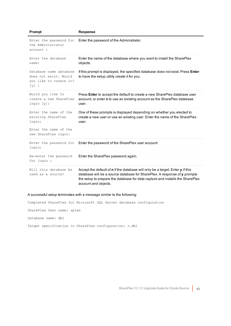| Prompt                                                                               | <b>Response</b>                                                                                                                                                                                                                                                      |
|--------------------------------------------------------------------------------------|----------------------------------------------------------------------------------------------------------------------------------------------------------------------------------------------------------------------------------------------------------------------|
| Enter the password for<br>the Administrator<br>account :                             | Enter the password of the Administrator.                                                                                                                                                                                                                             |
| Enter the database<br>name:                                                          | Enter the name of the database where you want to install the SharePlex<br>objects.                                                                                                                                                                                   |
| Database name database<br>does not exist. Would<br>you like to create it?<br>$[y]$ : | If this prompt is displayed, the specified database does not exist. Press Enter<br>to have the setup utility create it for you.                                                                                                                                      |
| Would you like to<br>create a new SharePlex<br>login[y]:                             | Press <b>Enter</b> to accept the default to create a new SharePlex database user<br>account, or enter n to use an existing account as the SharePlex database<br>user.                                                                                                |
| Enter the name of the<br>existing SharePlex<br>login:                                | One of these prompts is displayed depending on whether you elected to<br>create a new user or use an existing user. Enter the name of the SharePlex<br>user.                                                                                                         |
| Enter the name of the<br>new SharePlex login:                                        |                                                                                                                                                                                                                                                                      |
| Enter the password for<br>login:                                                     | Enter the password of the SharePlex user account.                                                                                                                                                                                                                    |
| Re-enter the password<br>for login :                                                 | Enter the SharePlex password again.                                                                                                                                                                                                                                  |
| Will this database be<br>used as a source?                                           | Accept the default of n if the database will only be a target. Enter y if this<br>database will be a source database for SharePlex. A response of y prompts<br>the setup to prepare the database for data capture and installs the SharePlex<br>account and objects. |

### A successful setup terminates with a message similar to the following:

Completed SharePlex for Microsoft SQL Server database configuration

SharePlex User name: splex

Database name: db1

Target specification in SharePlex configuration: r.db1